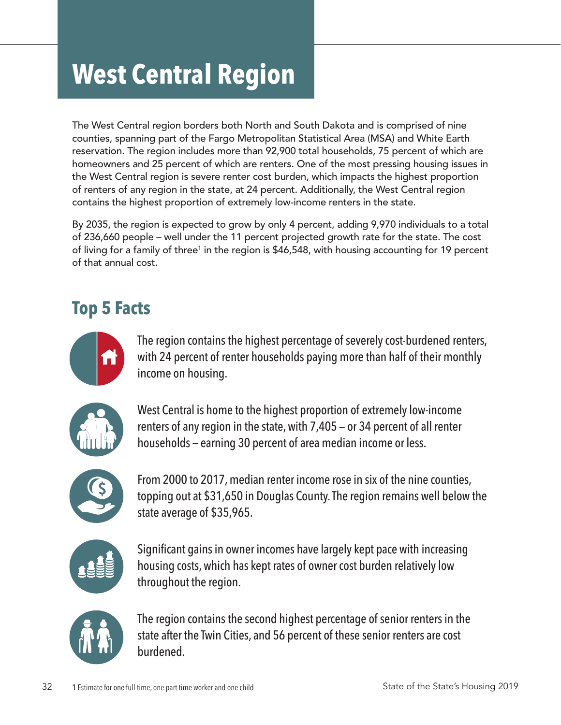# **West Central Region**

The West Central region borders both North and South Dakota and is comprised of nine counties, spanning part of the Fargo Metropolitan Statistical Area (MSA) and White Earth reservation. The region includes more than 92,900 total households, 75 percent of which are homeowners and 25 percent of which are renters. One of the most pressing housing issues in the West Central region is severe renter cost burden, which impacts the highest proportion of renters of any region in the state, at 24 percent. Additionally, the West Central region contains the highest proportion of extremely low-income renters in the state.

By 2035, the region is expected to grow by only 4 percent, adding 9,970 individuals to a total of 236,660 people – well under the 11 percent projected growth rate for the state. The cost of living for a family of three<sup>1</sup> in the region is \$46,548, with housing accounting for 19 percent of that annual cost.

## **Top 5 Facts**



The region contains the highest percentage of severely cost-burdened renters, with 24 percent of renter households paying more than half of their monthly income on housing.



West Central is home to the highest proportion of extremely low-income renters of any region in the state, with 7,405 — or 34 percent of all renter households — earning 30 percent of area median income or less.



From 2000 to 2017, median renter income rose in six of the nine counties, topping out at \$31,650 in Douglas County. The region remains well below the state average of \$35,965.



Significant gains in owner incomes have largely kept pace with increasing housing costs, which has kept rates of owner cost burden relatively low throughout the region.



The region contains the second highest percentage of senior renters in the state after the Twin Cities, and 56 percent of these senior renters are cost burdened.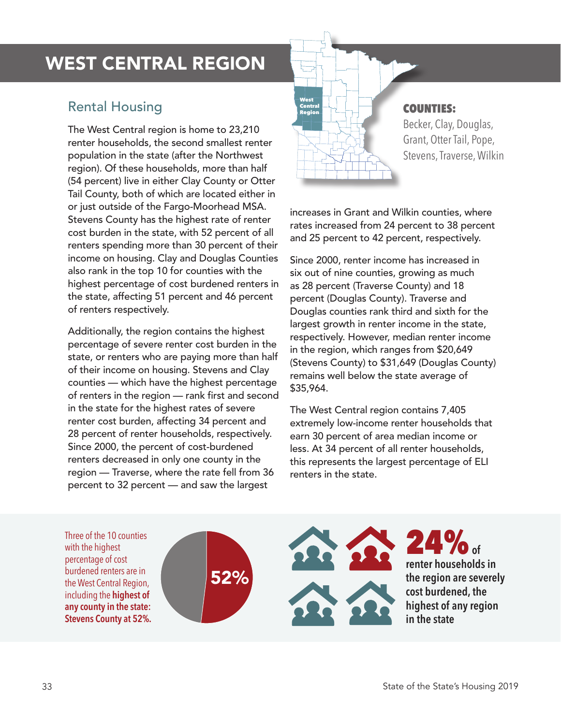## WEST CENTRAL REGION

#### Rental Housing

The West Central region is home to 23,210 renter households, the second smallest renter population in the state (after the Northwest region). Of these households, more than half (54 percent) live in either Clay County or Otter Tail County, both of which are located either in or just outside of the Fargo-Moorhead MSA. Stevens County has the highest rate of renter cost burden in the state, with 52 percent of all renters spending more than 30 percent of their income on housing. Clay and Douglas Counties also rank in the top 10 for counties with the highest percentage of cost burdened renters in the state, affecting 51 percent and 46 percent of renters respectively.

Additionally, the region contains the highest percentage of severe renter cost burden in the state, or renters who are paying more than half of their income on housing. Stevens and Clay counties — which have the highest percentage of renters in the region — rank first and second in the state for the highest rates of severe renter cost burden, affecting 34 percent and 28 percent of renter households, respectively. Since 2000, the percent of cost-burdened renters decreased in only one county in the region — Traverse, where the rate fell from 36 percent to 32 percent — and saw the largest



#### COUNTIES:

Becker, Clay, Douglas, Grant, Otter Tail, Pope, Stevens, Traverse, Wilkin

increases in Grant and Wilkin counties, where rates increased from 24 percent to 38 percent and 25 percent to 42 percent, respectively.

Since 2000, renter income has increased in six out of nine counties, growing as much as 28 percent (Traverse County) and 18 percent (Douglas County). Traverse and Douglas counties rank third and sixth for the largest growth in renter income in the state, respectively. However, median renter income in the region, which ranges from \$20,649 (Stevens County) to \$31,649 (Douglas County) remains well below the state average of \$35,964.

The West Central region contains 7,405 extremely low-income renter households that earn 30 percent of area median income or less. At 34 percent of all renter households, this represents the largest percentage of ELI renters in the state.

Three of the 10 counties with the highest percentage of cost burdened renters are in the West Central Region, including the **highest of any county in the state: Stevens County at 52%.**



24%**of renter households in the region are severely cost burdened, the highest of any region in the state**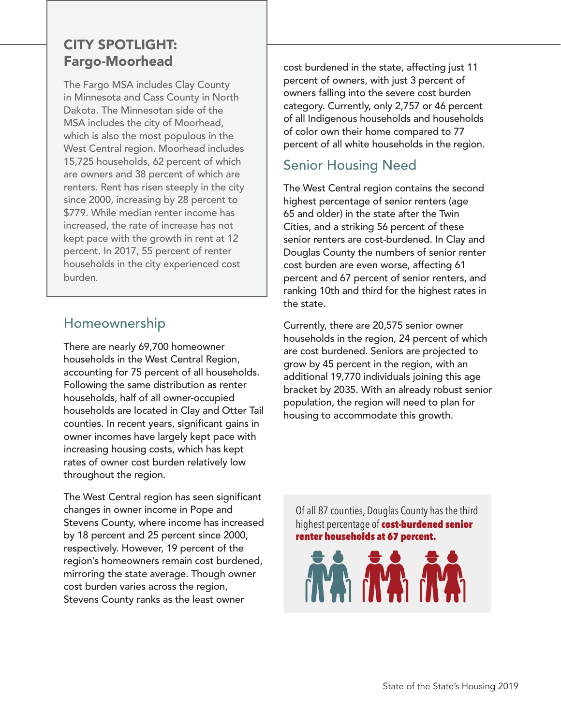#### CITY SPOTLIGHT: Fargo-Moorhead

The Fargo MSA includes Clay County in Minnesota and Cass County in North Dakota. The Minnesotan side of the MSA includes the city of Moorhead, which is also the most populous in the West Central region. Moorhead includes 15,725 households, 62 percent of which are owners and 38 percent of which are renters. Rent has risen steeply in the city since 2000, increasing by 28 percent to \$779. While median renter income has increased, the rate of increase has not kept pace with the growth in rent at 12 percent. In 2017, 55 percent of renter households in the city experienced cost burden.

#### Homeownership

There are nearly 69,700 homeowner households in the West Central Region, accounting for 75 percent of all households. Following the same distribution as renter households, half of all owner-occupied households are located in Clay and Otter Tail counties. In recent years, significant gains in owner incomes have largely kept pace with increasing housing costs, which has kept rates of owner cost burden relatively low throughout the region.

The West Central region has seen significant changes in owner income in Pope and Stevens County, where income has increased by 18 percent and 25 percent since 2000, respectively. However, 19 percent of the region's homeowners remain cost burdened, mirroring the state average. Though owner cost burden varies across the region, Stevens County ranks as the least owner

cost burdened in the state, affecting just 11 percent of owners, with just 3 percent of owners falling into the severe cost burden category. Currently, only 2,757 or 46 percent of all Indigenous households and households of color own their home compared to 77 percent of all white households in the region.

### Senior Housing Need

The West Central region contains the second highest percentage of senior renters (age 65 and older) in the state after the Twin Cities, and a striking 56 percent of these senior renters are cost-burdened. In Clay and Douglas County the numbers of senior renter cost burden are even worse, affecting 61 percent and 67 percent of senior renters, and ranking 10th and third for the highest rates in the state.

Currently, there are 20,575 senior owner households in the region, 24 percent of which are cost burdened. Seniors are projected to grow by 45 percent in the region, with an additional 19,770 individuals joining this age bracket by 2035. With an already robust senior population, the region will need to plan for housing to accommodate this growth.

Of all 87 counties, Douglas County has the third highest percentage of cost-burdened senior renter households at 67 percent.

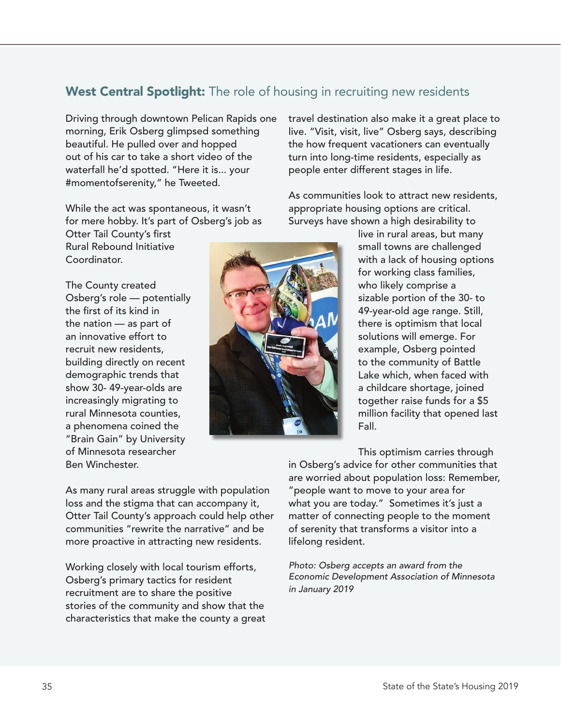#### West Central Spotlight: The role of housing in recruiting new residents

Driving through downtown Pelican Rapids one morning, Erik Osberg glimpsed something beautiful. He pulled over and hopped out of his car to take a short video of the waterfall he'd spotted. "Here it is... your #momentofserenity," he Tweeted.

While the act was spontaneous, it wasn't for mere hobby. It's part of Osberg's job as

Otter Tail County's first Rural Rebound Initiative Coordinator.

The County created Osberg's role — potentially the first of its kind in the nation — as part of an innovative effort to recruit new residents, building directly on recent demographic trends that show 30- 49-year-olds are increasingly migrating to rural Minnesota counties, a phenomena coined the "Brain Gain" by University of Minnesota researcher Ben Winchester.



travel destination also make it a great place to live. "Visit, visit, live" Osberg says, describing the how frequent vacationers can eventually turn into long-time residents, especially as people enter different stages in life.

As communities look to attract new residents, appropriate housing options are critical. Surveys have shown a high desirability to

> live in rural areas, but many small towns are challenged with a lack of housing options for working class families, who likely comprise a sizable portion of the 30- to 49-year-old age range. Still, there is optimism that local solutions will emerge. For example, Osberg pointed to the community of Battle Lake which, when faced with a childcare shortage, joined together raise funds for a \$5 million facility that opened last Fall.

This optimism carries through

As many rural areas struggle with population loss and the stigma that can accompany it, Otter Tail County's approach could help other communities "rewrite the narrative" and be more proactive in attracting new residents.

Working closely with local tourism efforts, Osberg's primary tactics for resident recruitment are to share the positive stories of the community and show that the characteristics that make the county a great in Osberg's advice for other communities that are worried about population loss: Remember, "people want to move to your area for what you are today." Sometimes it's just a matter of connecting people to the moment of serenity that transforms a visitor into a lifelong resident.

*Photo: Osberg accepts an award from the Economic Development Association of Minnesota in January 2019*